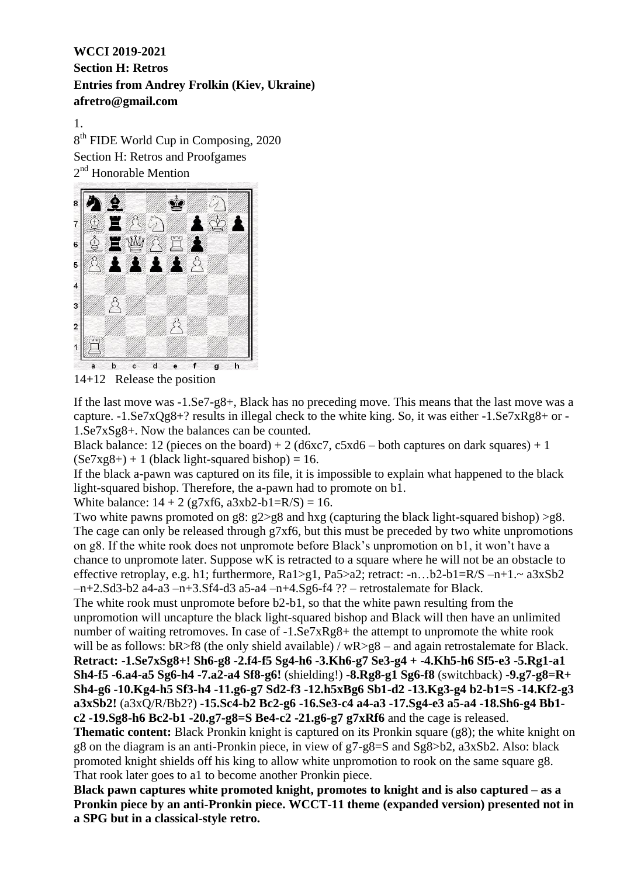1.

8<sup>th</sup> FIDE World Cup in Composing, 2020 Section H: Retros and Proofgames 2<sup>nd</sup> Honorable Mention



14+12 Release the position

If the last move was -1.Se7-g8+, Black has no preceding move. This means that the last move was a capture. -1.Se7xQg8+? results in illegal check to the white king. So, it was either -1.Se7xRg8+ or - 1.Se7xSg8+. Now the balances can be counted.

Black balance: 12 (pieces on the board) + 2 ( $d6xc7$ ,  $c5xd6$  – both captures on dark squares) + 1  $(Se7xg8+) + 1$  (black light-squared bishop) = 16.

If the black a-pawn was captured on its file, it is impossible to explain what happened to the black light-squared bishop. Therefore, the a-pawn had to promote on b1.

White balance:  $14 + 2$  (g7xf6, a3xb2-b1=R/S) = 16.

Two white pawns promoted on g8: g2>g8 and hxg (capturing the black light-squared bishop) >g8. The cage can only be released through g7xf6, but this must be preceded by two white unpromotions on g8. If the white rook does not unpromote before Black's unpromotion on b1, it won't have a chance to unpromote later. Suppose wK is retracted to a square where he will not be an obstacle to effective retroplay, e.g. h1; furthermore,  $Ra1>g1$ ,  $Pa5>a2$ ; retract: -n…b2-b1= $R/S -n+1$ .~  $a3xSb2$ –n+2.Sd3-b2 a4-a3 –n+3.Sf4-d3 a5-a4 –n+4.Sg6-f4 ?? – retrostalemate for Black.

The white rook must unpromote before b2-b1, so that the white pawn resulting from the unpromotion will uncapture the black light-squared bishop and Black will then have an unlimited number of waiting retromoves. In case of  $-1.$  Se $7xRg8+$  the attempt to unpromote the white rook will be as follows:  $bR > f8$  (the only shield available) /  $wR > g8$  – and again retrostalemate for Black. **Retract: -1.Se7xSg8+! Sh6-g8 -2.f4-f5 Sg4-h6 -3.Kh6-g7 Se3-g4 + -4.Kh5-h6 Sf5-e3 -5.Rg1-a1 Sh4-f5 -6.a4-a5 Sg6-h4 -7.a2-a4 Sf8-g6!** (shielding!) **-8.Rg8-g1 Sg6-f8** (switchback) **-9.g7-g8=R+ Sh4-g6 -10.Kg4-h5 Sf3-h4 -11.g6-g7 Sd2-f3 -12.h5xBg6 Sb1-d2 -13.Kg3-g4 b2-b1=S -14.Kf2-g3 a3xSb2!** (a3xQ/R/Bb2?) **-15.Sc4-b2 Bc2-g6 -16.Se3-c4 a4-a3 -17.Sg4-e3 a5-a4 -18.Sh6-g4 Bb1 c2 -19.Sg8-h6 Bc2-b1 -20.g7-g8=S Be4-c2 -21.g6-g7 g7xRf6** and the cage is released. **Thematic content:** Black Pronkin knight is captured on its Pronkin square (g8); the white knight on g8 on the diagram is an anti-Pronkin piece, in view of g7-g8=S and Sg8>b2, a3xSb2. Also: black promoted knight shields off his king to allow white unpromotion to rook on the same square g8.

That rook later goes to a1 to become another Pronkin piece.

**Black pawn captures white promoted knight, promotes to knight and is also captured – as a Pronkin piece by an anti-Pronkin piece. WCCT-11 theme (expanded version) presented not in a SPG but in a classical-style retro.**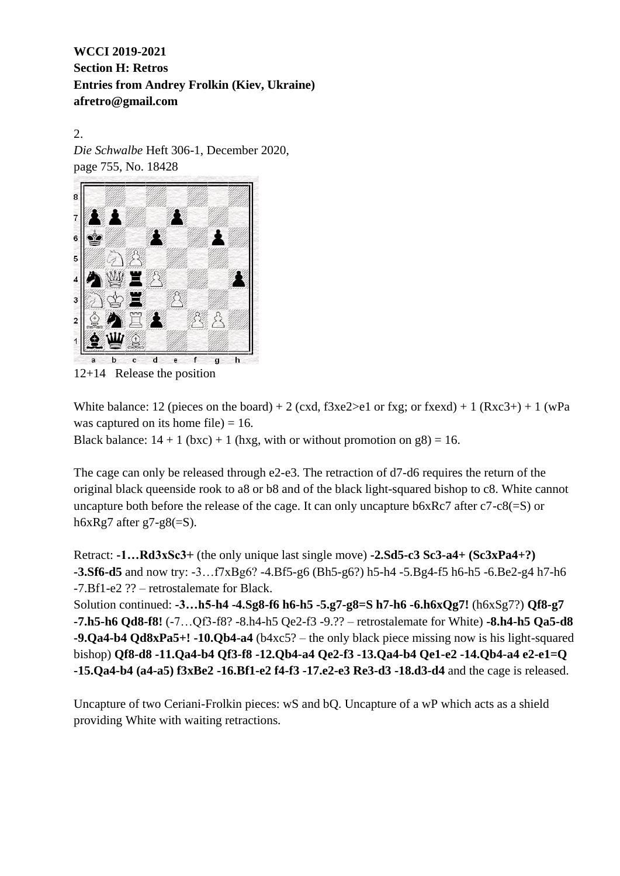2. *Die Schwalbe* Heft 306-1, December 2020, page 755, No. 18428



12+14 Release the position

White balance: 12 (pieces on the board) + 2 (cxd,  $f3xe2>el$  or fxg; or fxexd) + 1 (Rxc3+) + 1 (wPa was captured on its home file)  $= 16$ .

Black balance:  $14 + 1$  (bxc) + 1 (hxg, with or without promotion on g8) = 16.

The cage can only be released through e2-e3. The retraction of d7-d6 requires the return of the original black queenside rook to a8 or b8 and of the black light-squared bishop to c8. White cannot uncapture both before the release of the cage. It can only uncapture b6xRc7 after c7-c8(=S) or h6xRg7 after g7-g8 $(=S)$ .

Retract: **-1…Rd3xSc3+** (the only unique last single move) **-2.Sd5-c3 Sc3-a4+ (Sc3xPa4+?) -3.Sf6-d5** and now try: -3…f7xBg6? -4.Bf5-g6 (Bh5-g6?) h5-h4 -5.Bg4-f5 h6-h5 -6.Be2-g4 h7-h6 -7.Bf1-e2 ?? – retrostalemate for Black.

Solution continued: **-3…h5-h4 -4.Sg8-f6 h6-h5 -5.g7-g8=S h7-h6 -6.h6xQg7!** (h6xSg7?) **Qf8-g7 -7.h5-h6 Qd8-f8!** (-7…Qf3-f8? -8.h4-h5 Qe2-f3 -9.?? – retrostalemate for White) **-8.h4-h5 Qa5-d8 -9.Qa4-b4 Qd8xPa5+! -10.Qb4-a4** (b4xc5? – the only black piece missing now is his light-squared bishop) **Qf8-d8 -11.Qa4-b4 Qf3-f8 -12.Qb4-a4 Qe2-f3 -13.Qa4-b4 Qe1-e2 -14.Qb4-a4 e2-e1=Q -15.Qa4-b4 (a4-a5) f3xBe2 -16.Bf1-e2 f4-f3 -17.e2-e3 Re3-d3 -18.d3-d4** and the cage is released.

Uncapture of two Ceriani-Frolkin pieces: wS and bQ. Uncapture of a wP which acts as a shield providing White with waiting retractions.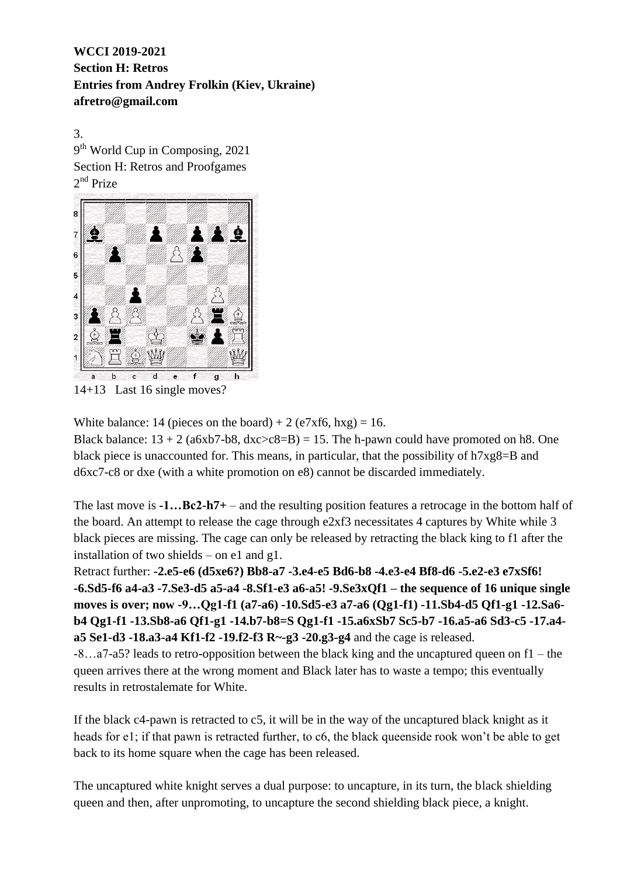3. 9<sup>th</sup> World Cup in Composing, 2021 Section H: Retros and Proofgames 2<sup>nd</sup> Prize



14+13 Last 16 single moves?

White balance: 14 (pieces on the board) + 2 (e7xf6, hxg) = 16.

Black balance:  $13 + 2$  (a6xb7-b8, dxc>c8=B) = 15. The h-pawn could have promoted on h8. One black piece is unaccounted for. This means, in particular, that the possibility of h7xg8=B and d6xc7-c8 or dxe (with a white promotion on e8) cannot be discarded immediately.

The last move is **-1…Bc2-h7+** – and the resulting position features a retrocage in the bottom half of the board. An attempt to release the cage through e2xf3 necessitates 4 captures by White while 3 black pieces are missing. The cage can only be released by retracting the black king to f1 after the installation of two shields – on e1 and g1.

Retract further: **-2.e5-e6 (d5xe6?) Bb8-a7 -3.e4-e5 Bd6-b8 -4.e3-e4 Bf8-d6 -5.e2-e3 e7xSf6! -6.Sd5-f6 a4-a3 -7.Se3-d5 a5-a4 -8.Sf1-e3 a6-a5! -9.Se3xQf1 – the sequence of 16 unique single moves is over; now -9…Qg1-f1 (a7-a6) -10.Sd5-e3 a7-a6 (Qg1-f1) -11.Sb4-d5 Qf1-g1 -12.Sa6 b4 Qg1-f1 -13.Sb8-a6 Qf1-g1 -14.b7-b8=S Qg1-f1 -15.a6xSb7 Sc5-b7 -16.a5-a6 Sd3-c5 -17.a4 a5 Se1-d3 -18.a3-a4 Kf1-f2 -19.f2-f3 R~-g3 -20.g3-g4** and the cage is released.

-8…a7-a5? leads to retro-opposition between the black king and the uncaptured queen on f1 – the queen arrives there at the wrong moment and Black later has to waste a tempo; this eventually results in retrostalemate for White.

If the black c4-pawn is retracted to c5, it will be in the way of the uncaptured black knight as it heads for e1; if that pawn is retracted further, to c6, the black queenside rook won't be able to get back to its home square when the cage has been released.

The uncaptured white knight serves a dual purpose: to uncapture, in its turn, the black shielding queen and then, after unpromoting, to uncapture the second shielding black piece, a knight.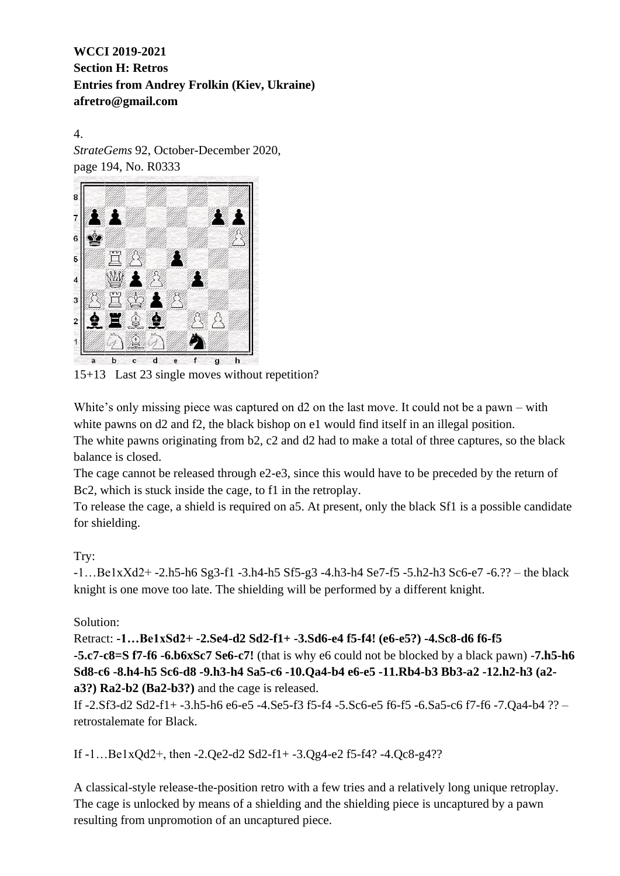4. *StrateGems* 92, October-December 2020, page 194, No. R0333



15+13 Last 23 single moves without repetition?

White's only missing piece was captured on d2 on the last move. It could not be a pawn – with white pawns on d2 and f2, the black bishop on e1 would find itself in an illegal position. The white pawns originating from b2, c2 and d2 had to make a total of three captures, so the black balance is closed.

The cage cannot be released through e2-e3, since this would have to be preceded by the return of Bc2, which is stuck inside the cage, to f1 in the retroplay.

To release the cage, a shield is required on a5. At present, only the black Sf1 is a possible candidate for shielding.

# Try:

-1…Be1xXd2+ -2.h5-h6 Sg3-f1 -3.h4-h5 Sf5-g3 -4.h3-h4 Se7-f5 -5.h2-h3 Sc6-e7 -6.?? – the black knight is one move too late. The shielding will be performed by a different knight.

# Solution:

Retract: **-1…Be1xSd2+ -2.Se4-d2 Sd2-f1+ -3.Sd6-e4 f5-f4! (e6-e5?) -4.Sc8-d6 f6-f5 -5.c7-c8=S f7-f6 -6.b6xSc7 Se6-c7!** (that is why e6 could not be blocked by a black pawn) -**7.h5-h6 Sd8-c6 -8.h4-h5 Sc6-d8 -9.h3-h4 Sa5-c6 -10.Qa4-b4 e6-e5 -11.Rb4-b3 Bb3-a2 -12.h2-h3 (a2 a3?) Ra2-b2 (Ba2-b3?)** and the cage is released.

If -2.Sf3-d2 Sd2-f1+ -3.h5-h6 e6-e5 -4.Se5-f3 f5-f4 -5.Sc6-e5 f6-f5 -6.Sa5-c6 f7-f6 -7.Qa4-b4 ?? – retrostalemate for Black.

If -1…Be1xQd2+, then -2.Qe2-d2 Sd2-f1+ -3.Qg4-e2 f5-f4? -4.Qc8-g4??

A classical-style release-the-position retro with a few tries and a relatively long unique retroplay. The cage is unlocked by means of a shielding and the shielding piece is uncaptured by a pawn resulting from unpromotion of an uncaptured piece.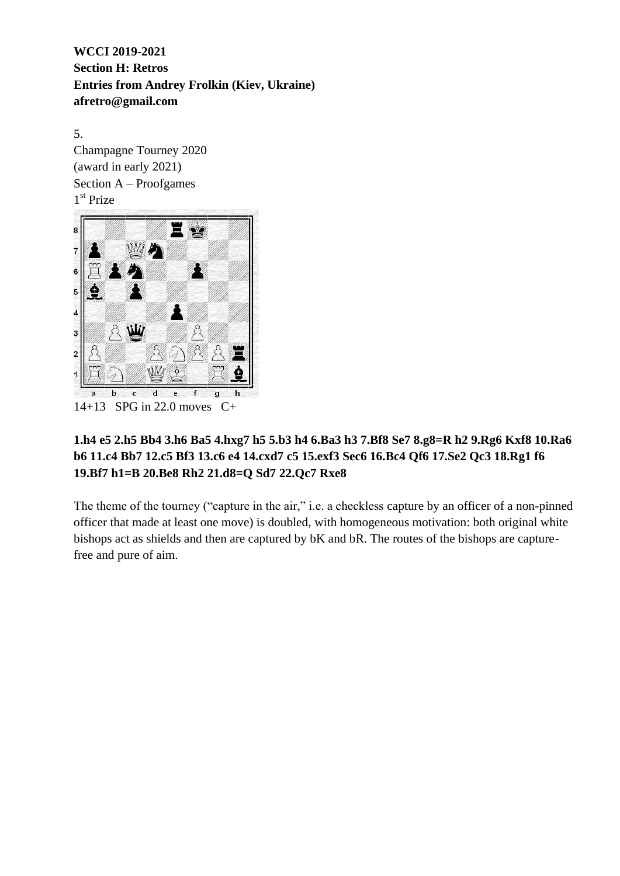5. Champagne Tourney 2020 (award in early 2021) Section A – Proofgames 1 st Prize



# **1.h4 e5 2.h5 Bb4 3.h6 Ba5 4.hxg7 h5 5.b3 h4 6.Ba3 h3 7.Bf8 Se7 8.g8=R h2 9.Rg6 Kxf8 10.Ra6 b6 11.c4 Bb7 12.c5 Bf3 13.c6 e4 14.cxd7 c5 15.exf3 Sec6 16.Bc4 Qf6 17.Se2 Qc3 18.Rg1 f6 19.Bf7 h1=B 20.Be8 Rh2 21.d8=Q Sd7 22.Qc7 Rxe8**

The theme of the tourney ("capture in the air," i.e. a checkless capture by an officer of a non-pinned officer that made at least one move) is doubled, with homogeneous motivation: both original white bishops act as shields and then are captured by bK and bR. The routes of the bishops are capturefree and pure of aim.